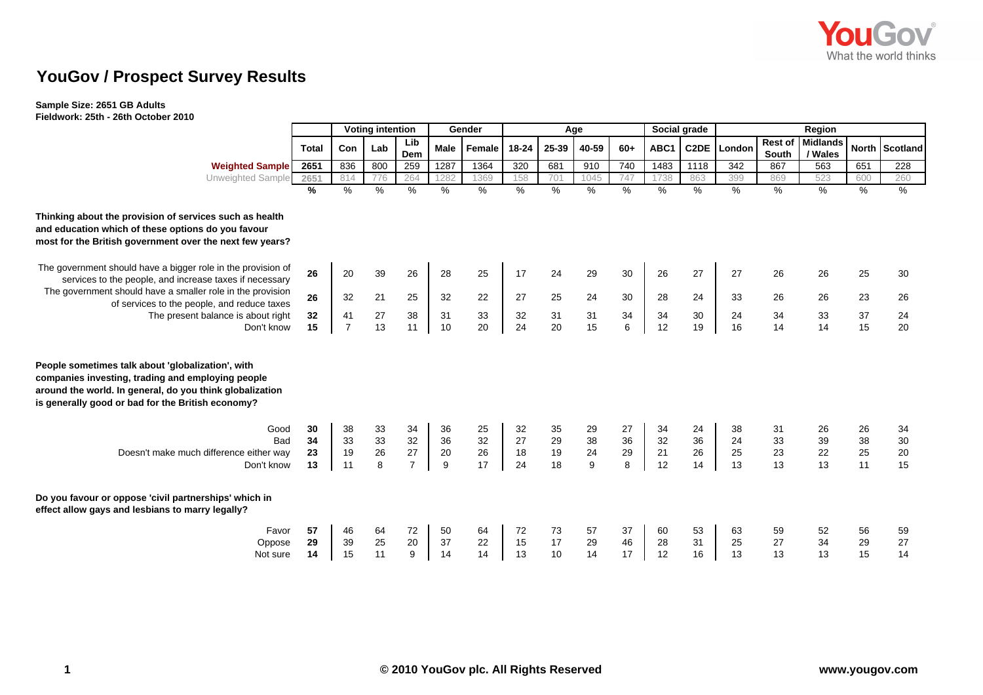

## **YouGov / Prospect Survey Results**

## **Sample Size: 2651 GB Adults Fieldwork: 25th - 26th October 2010**

| <u></u>                                                                                                                                                                                                                 |              |                         |     |                  |                  |          |                  |       |       |       |      |              |             |                         |                            |     |                |
|-------------------------------------------------------------------------------------------------------------------------------------------------------------------------------------------------------------------------|--------------|-------------------------|-----|------------------|------------------|----------|------------------|-------|-------|-------|------|--------------|-------------|-------------------------|----------------------------|-----|----------------|
|                                                                                                                                                                                                                         |              | <b>Voting intention</b> |     |                  |                  | Gender   | Age              |       |       |       |      | Social grade | Region      |                         |                            |     |                |
|                                                                                                                                                                                                                         | <b>Total</b> | <b>Con</b>              | Lab | Lib<br>Dem       | Male             | Female   | 18-24            | 25-39 | 40-59 | $60+$ | ABC1 |              | C2DE London | <b>Rest of</b><br>South | <b>Midlands</b><br>/ Wales |     | North Scotland |
| <b>Weighted Sample</b>                                                                                                                                                                                                  | 2651         | 836                     | 800 | 259              | 1287             | 1364     | $\overline{320}$ | 681   | 910   | 740   | 1483 | 1118         | 342         | 867                     | 563                        | 651 | 228            |
| Unweighted Sample                                                                                                                                                                                                       | 2651         | 814                     | 776 | 264              | 1282             | 1369     | 158              | 701   | 1045  | 747   | 1738 | 863          | 399         | 869                     | 523                        | 600 | 260            |
|                                                                                                                                                                                                                         | %            | %                       | %   | %                | %                | $\%$     | %                | %     | %     | %     | %    | %            | $\%$        | %                       | %                          | %   | %              |
| Thinking about the provision of services such as health<br>and education which of these options do you favour<br>most for the British government over the next few years?                                               |              |                         |     |                  |                  |          |                  |       |       |       |      |              |             |                         |                            |     |                |
| The government should have a bigger role in the provision of<br>services to the people, and increase taxes if necessary                                                                                                 | 26           | 20                      | 39  | 26               | 28               | 25       | 17               | 24    | 29    | 30    | 26   | 27           | 27          | 26                      | 26                         | 25  | 30             |
| The government should have a smaller role in the provision<br>of services to the people, and reduce taxes                                                                                                               | 26           | 32                      | 21  | 25               | 32               | 22       | 27               | 25    | 24    | 30    | 28   | 24           | 33          | 26                      | 26                         | 23  | 26             |
| The present balance is about right                                                                                                                                                                                      | 32           | 41                      | 27  | 38               | 31               | 33       | 32               | 31    | 31    | 34    | 34   | 30           | 24          | 34                      | 33                         | 37  | 24             |
| Don't know                                                                                                                                                                                                              | 15           | $\overline{7}$          | 13  | 11               | 10               | 20       | 24               | 20    | 15    | 6     | 12   | 19           | 16          | 14                      | 14                         | 15  | 20             |
| People sometimes talk about 'globalization', with<br>companies investing, trading and employing people<br>around the world. In general, do you think globalization<br>is generally good or bad for the British economy? |              |                         |     |                  |                  |          |                  |       |       |       |      |              |             |                         |                            |     |                |
| Good                                                                                                                                                                                                                    | 30           | 38                      | 33  | 34               | 36               | 25       | 32               | 35    | 29    | 27    | 34   | 24           | 38          | 31                      | 26                         | 26  | 34             |
| <b>Bad</b>                                                                                                                                                                                                              | 34           | 33                      | 33  | 32               | 36               | 32       | 27               | 29    | 38    | 36    | 32   | 36           | 24          | 33                      | 39                         | 38  | 30             |
| Doesn't make much difference either way                                                                                                                                                                                 | 23           | 19                      | 26  | $\frac{27}{7}$   | 20               | 26<br>17 | 18               | 19    | 24    | 29    | 21   | 26           | 25          | 23                      | 22                         | 25  | 20             |
| Don't know                                                                                                                                                                                                              | 13           | 11                      | 8   |                  | $\boldsymbol{9}$ |          | 24               | 18    | 9     | 8     | 12   | 14           | 13          | 13                      | 13                         | 11  | 15             |
| Do you favour or oppose 'civil partnerships' which in<br>effect allow gays and lesbians to marry legally?                                                                                                               |              |                         |     |                  |                  |          |                  |       |       |       |      |              |             |                         |                            |     |                |
| Favor                                                                                                                                                                                                                   | 57           | 46                      | 64  | 72               | 50               | 64       | 72               | 73    | 57    | 37    | 60   | 53           | 63          | 59                      | 52                         | 56  | 59             |
| Oppose                                                                                                                                                                                                                  | 29           | 39                      | 25  | $20\,$           | 37               | 22       | 15               | 17    | 29    | 46    | 28   | 31           | 25          | 27                      | 34                         | 29  | 27             |
| Not sure                                                                                                                                                                                                                | 14           | 15                      | 11  | $\boldsymbol{9}$ | 14               | 14       | 13               | 10    | 14    | 17    | 12   | 16           | 13          | 13                      | 13                         | 15  | 14             |
|                                                                                                                                                                                                                         |              |                         |     |                  |                  |          |                  |       |       |       |      |              |             |                         |                            |     |                |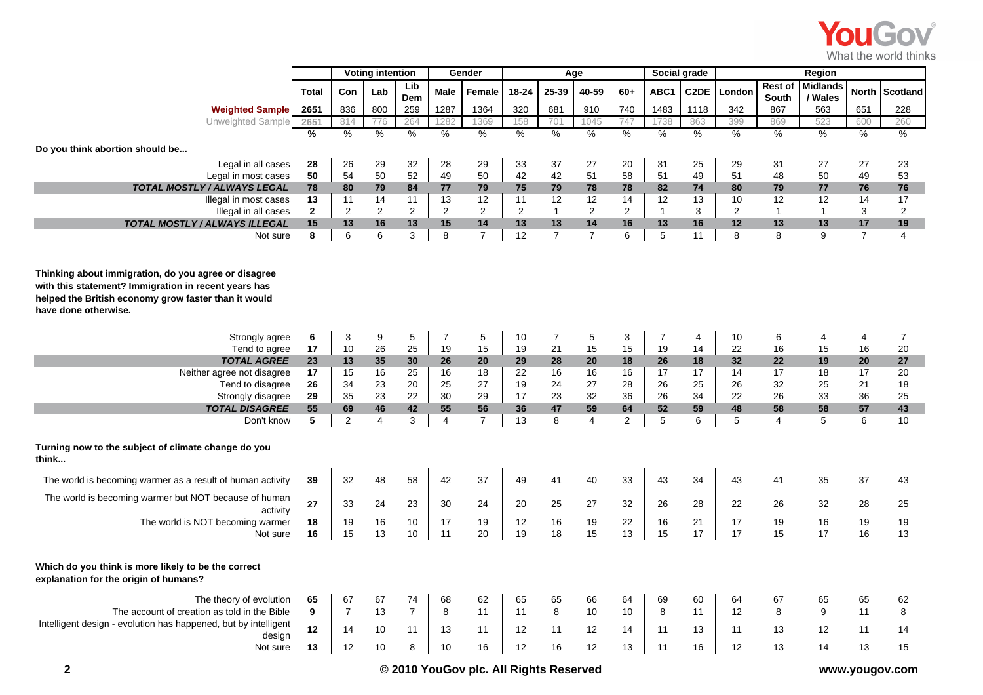

|                                                                                                                                                                                              |               | <b>Voting intention</b><br>Gender |                | Age            |                |                |               | Social grade   |                |                |              |                   |                |                  |                            |                |                 |
|----------------------------------------------------------------------------------------------------------------------------------------------------------------------------------------------|---------------|-----------------------------------|----------------|----------------|----------------|----------------|---------------|----------------|----------------|----------------|--------------|-------------------|----------------|------------------|----------------------------|----------------|-----------------|
|                                                                                                                                                                                              | <b>Total</b>  | Con                               | Lab            | Lib<br>Dem     | <b>Male</b>    | Female         | 18-24         | 25-39          | 40-59          | $60+$          | ABC1         | C <sub>2</sub> DE | London         | Rest of<br>South | <b>Midlands</b><br>/ Wales | <b>North</b>   | <b>Scotland</b> |
| <b>Weighted Sample</b>                                                                                                                                                                       | 2651          | 836                               | 800            | 259            | 1287           | 1364           | 320           | 681            | 910            | 740            | 1483         | 1118              | 342            | 867              | 563                        | 651            | 228             |
| Unweighted Sample                                                                                                                                                                            | 2651          | 814                               | 776            | 264            | 1282           | 1369           | 158           | 701            | 1045           | 747            | 1738         | 863               | 399            | 869              | 523                        | 600            | 260             |
|                                                                                                                                                                                              | $\frac{9}{6}$ | %                                 | $\frac{9}{6}$  | $\%$           | $\frac{9}{6}$  | $\frac{1}{2}$  | $\frac{9}{6}$ | $\%$           | $\frac{0}{0}$  | $\%$           | $\%$         | $\%$              | $\frac{1}{2}$  | %                | %                          | %              | %               |
| Do you think abortion should be                                                                                                                                                              |               |                                   |                |                |                |                |               |                |                |                |              |                   |                |                  |                            |                |                 |
| Legal in all cases                                                                                                                                                                           | 28            | 26                                | 29             | 32             | 28             | 29             | 33            | 37             | 27             | 20             | 31           | 25                | 29             | 31               | 27                         | 27             | 23              |
| Legal in most cases                                                                                                                                                                          | 50            | 54                                | 50             | 52             | 49             | 50             | 42            | 42             | 51             | 58             | 51           | 49                | 51             | 48               | 50                         | 49             | 53              |
| <b>TOTAL MOSTLY / ALWAYS LEGAL</b>                                                                                                                                                           | 78            | 80                                | 79             | 84             | 77             | 79             | 75            | 79             | 78             | 78             | 82           | 74                | 80             | 79               | 77                         | 76             | 76              |
| Illegal in most cases                                                                                                                                                                        | 13            | 11                                | 14             | 11             | 13             | 12             | 11            | 12             | 12             | 14             | 12           | 13                | 10             | 12               | 12                         | 14             | 17              |
| Illegal in all cases                                                                                                                                                                         | $\mathbf{2}$  | 2                                 | 2              | $\overline{2}$ | 2              | 2              | 2             | $\mathbf{1}$   | $\overline{2}$ | $\overline{2}$ | $\mathbf{1}$ | 3                 | $\overline{2}$ | $\mathbf{1}$     | $\mathbf{1}$               | 3              | 2               |
| TOTAL MOSTLY / ALWAYS ILLEGAL                                                                                                                                                                | 15            | 13                                | 16             | 13             | 15             | 14             | 13            | 13             | 14             | 16             | 13           | 16                | 12             | 13               | 13                         | 17             | 19              |
| Not sure                                                                                                                                                                                     | 8             | 6                                 | 6              | 3              | 8              | $\overline{7}$ | 12            | $\overline{7}$ | $\overline{7}$ | 6              | 5            | 11                | 8              | 8                | 9                          | $\overline{7}$ | $\overline{4}$  |
| Thinking about immigration, do you agree or disagree<br>with this statement? Immigration in recent years has<br>helped the British economy grow faster than it would<br>have done otherwise. |               |                                   |                |                |                |                |               |                |                |                |              |                   |                |                  |                            |                |                 |
| Strongly agree                                                                                                                                                                               | 6             | 3                                 | 9              | 5              | $\overline{7}$ | 5              | 10            | 7              | 5              | 3              | 7            | 4                 | 10             | 6                | $\overline{4}$             | 4              | 7               |
| Tend to agree                                                                                                                                                                                | 17            | 10                                | 26             | 25             | 19             | 15             | 19            | 21             | 15             | 15             | 19           | 14                | 22             | 16               | 15                         | 16             | 20              |
| <b>TOTAL AGREE</b>                                                                                                                                                                           | 23            | 13                                | 35             | 30             | 26             | 20             | 29            | 28             | 20             | 18             | 26           | 18                | 32             | 22               | 19                         | 20             | 27              |
| Neither agree not disagree                                                                                                                                                                   | 17            | 15                                | 16             | 25             | 16             | 18             | 22            | 16             | 16             | 16             | 17           | 17                | 14             | 17               | 18                         | 17             | 20              |
| Tend to disagree                                                                                                                                                                             | 26            | 34                                | 23             | 20             | 25             | 27             | 19            | 24             | 27             | 28             | 26           | 25                | 26             | 32               | 25                         | 21             | 18              |
| Strongly disagree                                                                                                                                                                            | 29            | 35                                | 23             | 22             | 30             | 29             | 17            | 23             | 32             | 36             | 26           | 34                | 22             | 26               | 33                         | 36             | 25              |
| <b>TOTAL DISAGREE</b>                                                                                                                                                                        | 55            | 69                                | 46             | 42             | 55             | 56             | 36            | 47             | 59             | 64             | 52           | 59                | 48             | 58               | 58                         | 57             | 43              |
| Don't know                                                                                                                                                                                   | 5             | $\overline{c}$                    | $\overline{4}$ | 3              | $\overline{4}$ | $\overline{7}$ | 13            | 8              | $\overline{4}$ | $\overline{2}$ | 5            | 6                 | 5              | $\overline{4}$   | 5                          | 6              | 10              |
| Turning now to the subject of climate change do you<br>think                                                                                                                                 |               |                                   |                |                |                |                |               |                |                |                |              |                   |                |                  |                            |                |                 |
| The world is becoming warmer as a result of human activity                                                                                                                                   | 39            | 32                                | 48             | 58             | 42             | 37             | 49            | 41             | 40             | 33             | 43           | 34                | 43             | 41               | 35                         | 37             | 43              |
| The world is becoming warmer but NOT because of human<br>activity                                                                                                                            | 27            | 33                                | 24             | 23             | 30             | 24             | 20            | 25             | 27             | 32             | 26           | 28                | 22             | 26               | 32                         | 28             | 25              |
| The world is NOT becoming warmer                                                                                                                                                             | 18            | 19                                | 16             | 10             | 17             | 19             | 12            | 16             | 19             | 22             | 16           | 21                | 17             | 19               | 16                         | 19             | 19              |
| Not sure                                                                                                                                                                                     | 16            | 15                                | 13             | 10             | 11             | 20             | 19            | 18             | 15             | 13             | 15           | 17                | 17             | 15               | 17                         | 16             | 13              |
| Which do you think is more likely to be the correct<br>explanation for the origin of humans?                                                                                                 |               |                                   |                |                |                |                |               |                |                |                |              |                   |                |                  |                            |                |                 |
| The theory of evolution                                                                                                                                                                      | 65            | 67                                | 67             | 74             | 68             | 62             | 65            | 65             | 66             | 64             | 69           | 60                | 64             | 67               | 65                         | 65             | 62              |
| The account of creation as told in the Bible                                                                                                                                                 | 9             | $\overline{7}$                    | 13             | $\overline{7}$ | 8              | 11             | 11            | 8              | 10             | 10             | 8            | 11                | 12             | 8                | 9                          | 11             | 8               |
| Intelligent design - evolution has happened, but by intelligent<br>design                                                                                                                    | 12            | 14                                | 10             | 11             | 13             | 11             | 12            | 11             | 12             | 14             | 11           | 13                | 11             | 13               | 12                         | 11             | 14              |
| Not sure                                                                                                                                                                                     | 13            | 12                                | 10             | 8              | 10             | 16             | 12            | 16             | 12             | 13             | 11           | 16                | 12             | 13               | 14                         | 13             | 15              |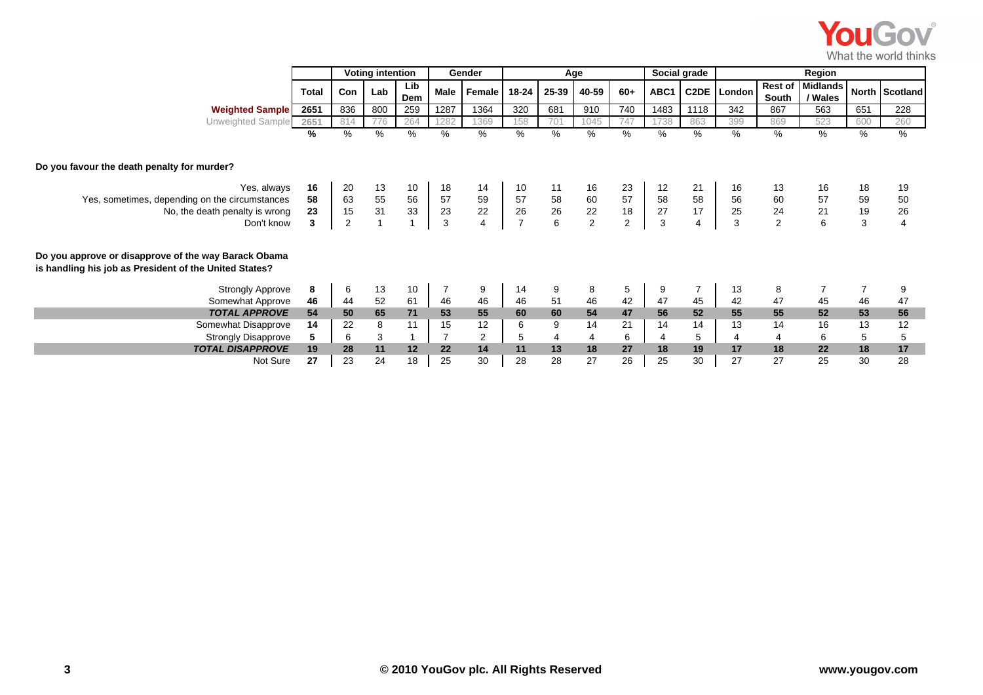|                                                                                                                |          |                |                                   |                |              |                |       |                                                              |                                              |                                              |              |                   |                                              |                         |                                              |               | <b>YouGov</b><br>What the world think |
|----------------------------------------------------------------------------------------------------------------|----------|----------------|-----------------------------------|----------------|--------------|----------------|-------|--------------------------------------------------------------|----------------------------------------------|----------------------------------------------|--------------|-------------------|----------------------------------------------|-------------------------|----------------------------------------------|---------------|---------------------------------------|
|                                                                                                                |          |                | <b>Voting intention</b><br>Gender |                |              |                |       | Age                                                          |                                              |                                              | Social grade | Region            |                                              |                         |                                              |               |                                       |
|                                                                                                                | Total    | Con            | Lab                               | Lib<br>Dem     | Male         | Female         | 18-24 | 25-39                                                        | 40-59                                        | $60+$                                        | ABC1         | C <sub>2</sub> DE | London                                       | <b>Rest of</b><br>South | Midlands<br>/ Wales                          |               | North Scotland                        |
| <b>Weighted Sample</b>                                                                                         | 2651     | 836            | 800                               | 259            | 1287         | 1364           | 320   | 681                                                          | 910                                          | 740                                          | 1483         | 1118              | 342                                          | 867                     | 563                                          | 651           | 228                                   |
| Unweighted Sample                                                                                              | 2651     | 814            | 776                               | 264            | 1282         | 1369           | 158   | 701                                                          | 1045                                         | 747                                          | 1738         | 863               | 399                                          | 869                     | 523                                          | 600           | 260                                   |
|                                                                                                                | %        | %              | %                                 | $\%$           | %            | %              | %     | %                                                            | %                                            | %                                            | %            | %                 | %                                            | %                       | $\frac{9}{6}$                                | %             | %                                     |
| Do you favour the death penalty for murder?                                                                    |          |                |                                   |                |              |                |       |                                                              |                                              |                                              |              |                   |                                              |                         |                                              |               |                                       |
| Yes, always<br>Yes, sometimes, depending on the circumstances                                                  | 16<br>58 | 20             | 13                                | 10             | 18           | 14             | 10    | 11                                                           | 16                                           | 23                                           | 12           | 21                | 16                                           | 13                      | 16                                           | 18            | 19<br>50                              |
| No, the death penalty is wrong                                                                                 | 23       | 63<br>15       | 55<br>31                          | 56<br>33       | 57<br>23     | 59<br>22       |       | $\begin{array}{ccc} 57 & 58 \\ 26 & 26 \\ 7 & 6 \end{array}$ | $\begin{array}{c} 60 \\ 22 \\ 2 \end{array}$ | $\begin{array}{c} 57 \\ 18 \\ 2 \end{array}$ | 58<br>27     | 58<br>17          | $\begin{array}{c} 56 \\ 25 \\ 3 \end{array}$ | 60<br>24<br>2           | $\begin{array}{c} 57 \\ 21 \\ 6 \end{array}$ | 59<br>19<br>3 | 26                                    |
| Don't know                                                                                                     | 3        | $\overline{c}$ | $\mathbf{1}$                      | $\overline{1}$ | $\mathbf{3}$ | $\overline{4}$ |       |                                                              |                                              |                                              | $\mathbf{3}$ | $\overline{4}$    |                                              |                         |                                              |               | $\overline{4}$                        |
| Do you approve or disapprove of the way Barack Obama<br>is handling his job as President of the United States? |          |                |                                   |                |              |                |       |                                                              |                                              |                                              |              |                   |                                              |                         |                                              |               |                                       |
| <b>Strongly Approve</b>                                                                                        | 8        | 6              | 13                                | 10             | 7            | 9              | 14    | 9                                                            | 8                                            | 5                                            | 9            |                   | 13                                           | 8                       |                                              | 7             | 9                                     |
| Somewhat Approve                                                                                               | 46       | 44             | 52                                | 61             | 46           | 46             | 46    | 51                                                           | 46                                           | 42                                           | 47           | 45                | 42                                           | 47                      | 45                                           | 46            | 47                                    |
| <b>TOTAL APPROVE</b>                                                                                           | 54       | 50             | 65                                | 71             | 53           | 55             | 60    | 60                                                           | 54                                           | 47                                           | 56           | 52                | 55                                           | 55                      | 52                                           | 53            | 56                                    |
| Somewhat Disapprove                                                                                            | 14       | 22             | 8                                 | 11             | 15           | 12             | 6     | 9                                                            | 14                                           | 21                                           | 14           | 14                | 13                                           | 14                      | 16                                           | 13            | 12                                    |
| <b>Strongly Disapprove</b>                                                                                     | 5        | 6              | 3                                 |                |              | 2              | 5     | 4                                                            | 4                                            | 6                                            | 4            | 5                 | 4                                            | 4                       | 6                                            | 5             | 5                                     |
| <b>TOTAL DISAPPROVE</b>                                                                                        | 19       | 28             | 11                                | 12             | 22           | 14             | 11    | 13                                                           | 18                                           | 27                                           | 18           | 19                | 17                                           | 18                      | 22                                           | 18            | 17                                    |

*E* 19 28 11 12 22 14 11 13 18 27 18 19 17 18 22 18 17 Not Sure **27** 23 24 18 25 30 28 28 27 26 25 30 27 27 25 30 28